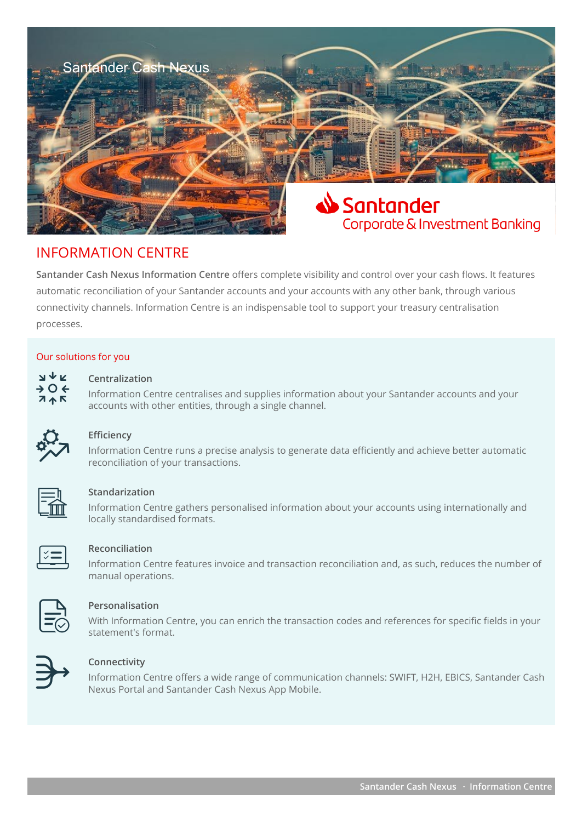

# INFORMATION CENTRE

**Santander Cash Nexus Information Centre** offers complete visibility and control over your cash flows. It features automatic reconciliation of your Santander accounts and your accounts with any other bank, through various connectivity channels. Information Centre is an indispensable tool to support your treasury centralisation processes.

#### Our solutions for you

# **Centralization**

**INFO CENTRE CENTRE CENTER CENTER CENTER CENTER SUPPLIES ASSET CENTER SUPPLIES INFORMATION ACCOUNTS and your SAMPLE ACCOUNTS and your SAMPLE ACCOUNTS accounts with other entities, through a single channel.** 



# **Efficiency**

Information Centre runs a precise analysis to generate data efficiently and achieve better automatic reconciliation of your transactions.



# **Standarization**

Information Centre gathers personalised information about your accounts using internationally and locally standardised formats.



#### **Reconciliation**

Information Centre features invoice and transaction reconciliation and, as such, reduces the number of manual operations.



# **Personalisation**

With Information Centre, you can enrich the transaction codes and references for specific fields in your statement's format.



# **Connectivity**

Information Centre offers a wide range of communication channels: SWIFT, H2H, EBICS, Santander Cash Nexus Portal and Santander Cash Nexus App Mobile.